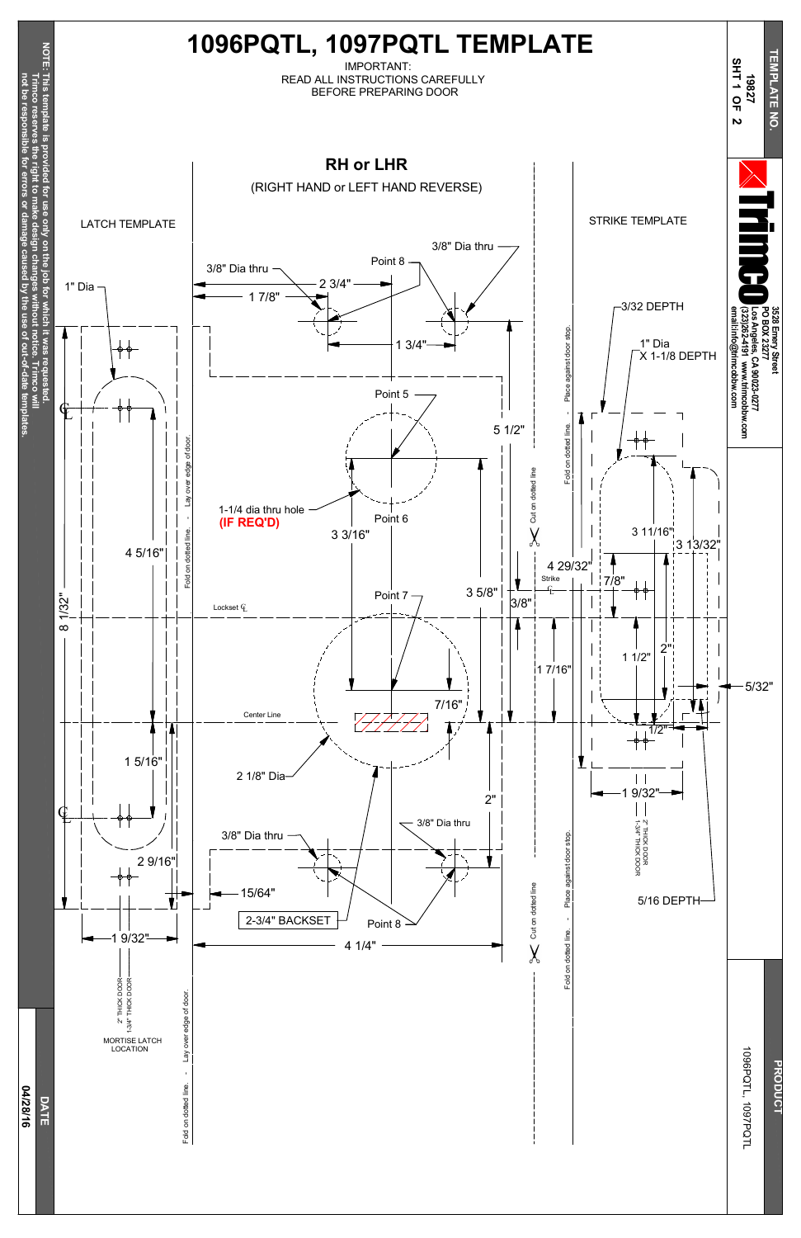